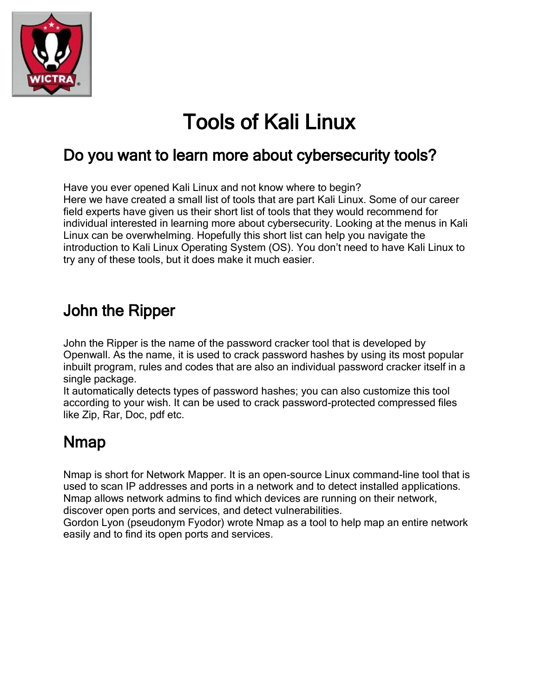

# Tools of Kali Linux

## Do you want to learn more about cybersecurity tools?

Have you ever opened Kali Linux and not know where to begin?

Here we have created a small list of tools that are part Kali Linux. Some of our career field experts have given us their short list of tools that they would recommend for individual interested in learning more about cybersecurity. Looking at the menus in Kali Linux can be overwhelming. Hopefully this short list can help you navigate the introduction to Kali Linux Operating System (OS). You don't need to have Kali Linux to try any of these tools, but it does make it much easier.

#### John the Ripper

John the Ripper is the name of the password cracker tool that is developed by Openwall. As the name, it is used to crack password hashes by using its most popular inbuilt program, rules and codes that are also an individual password cracker itself in a single package.

It automatically detects types of password hashes; you can also customize this tool according to your wish. It can be used to crack password-protected compressed files like Zip, Rar, Doc, pdf etc.

## Nmap

Nmap is short for Network Mapper. It is an open-source Linux command-line tool that is used to scan IP addresses and ports in a network and to detect installed applications. Nmap allows network admins to find which devices are running on their network, discover open ports and services, and detect vulnerabilities.

Gordon Lyon (pseudonym Fyodor) wrote Nmap as a tool to help map an entire network easily and to find its open ports and services.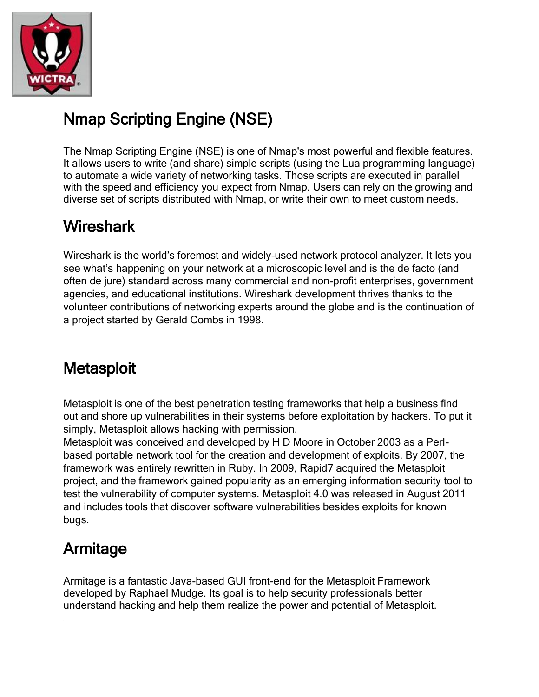

# Nmap Scripting Engine (NSE)

The Nmap Scripting Engine (NSE) is one of Nmap's most powerful and flexible features. It allows users to write (and share) simple scripts (using the Lua programming language) to automate a wide variety of networking tasks. Those scripts are executed in parallel with the speed and efficiency you expect from Nmap. Users can rely on the growing and diverse set of scripts distributed with Nmap, or write their own to meet custom needs.

### **Wireshark**

Wireshark is the world's foremost and widely-used network protocol analyzer. It lets you see what's happening on your network at a microscopic level and is the de facto (and often de jure) standard across many commercial and non-profit enterprises, government agencies, and educational institutions. Wireshark development thrives thanks to the volunteer contributions of networking experts around the globe and is the continuation of a project started by Gerald Combs in 1998.

#### **Metasploit**

Metasploit is one of the best penetration testing frameworks that help a business find out and shore up vulnerabilities in their systems before exploitation by hackers. To put it simply, Metasploit allows hacking with permission.

Metasploit was conceived and developed by H D Moore in October 2003 as a Perlbased portable network tool for the creation and development of exploits. By 2007, the framework was entirely rewritten in Ruby. In 2009, Rapid7 acquired the Metasploit project, and the framework gained popularity as an emerging information security tool to test the vulnerability of computer systems. Metasploit 4.0 was released in August 2011 and includes tools that discover software vulnerabilities besides exploits for known bugs.

## Armitage

Armitage is a fantastic Java-based GUI front-end for the Metasploit Framework developed by Raphael Mudge. Its goal is to help security professionals better understand hacking and help them realize the power and potential of Metasploit.